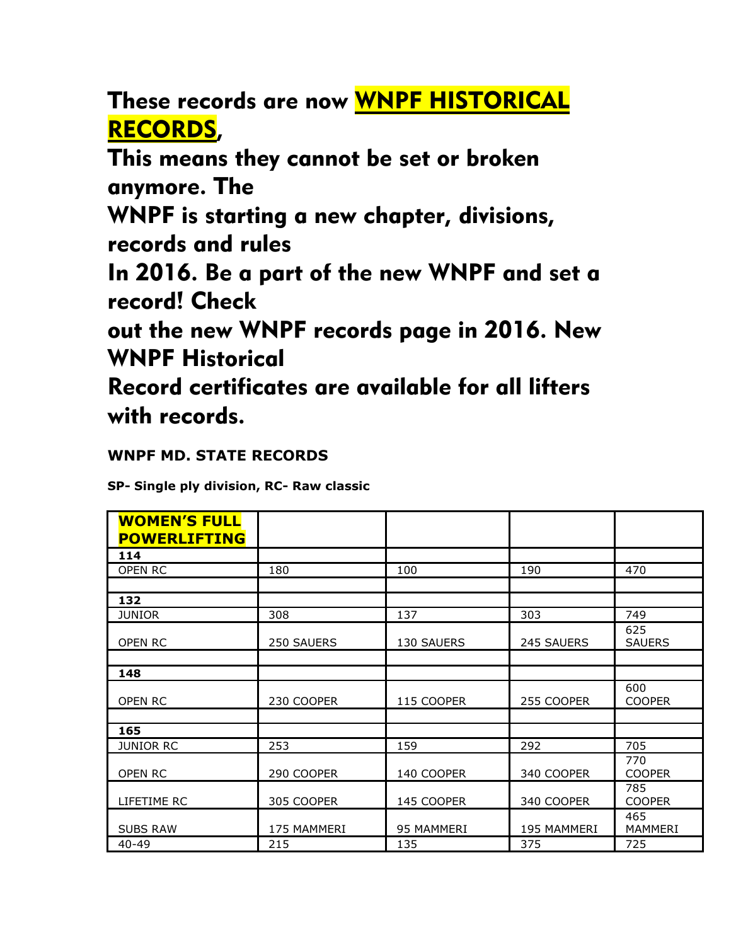These records are now WNPF HISTORICAL RECORDS,

This means they cannot be set or broken anymore. The

WNPF is starting a new chapter, divisions, records and rules

In 2016. Be a part of the new WNPF and set a record! Check

out the new WNPF records page in 2016. New WNPF Historical

Record certificates are available for all lifters with records.

## **WNPF MD. STATE RECORDS**

**SP- Single ply division, RC- Raw classic**

| <b>WOMEN'S FULL</b><br><b>POWERLIFTING</b> |             |            |             |                      |
|--------------------------------------------|-------------|------------|-------------|----------------------|
| 114                                        |             |            |             |                      |
| OPEN RC                                    | 180         | 100        | 190         | 470                  |
|                                            |             |            |             |                      |
| 132                                        |             |            |             |                      |
| <b>JUNIOR</b>                              | 308         | 137        | 303         | 749                  |
| OPEN RC                                    | 250 SAUERS  | 130 SAUERS | 245 SAUERS  | 625<br><b>SAUERS</b> |
|                                            |             |            |             |                      |
| 148                                        |             |            |             |                      |
| OPEN RC                                    | 230 COOPER  | 115 COOPER | 255 COOPER  | 600<br><b>COOPER</b> |
|                                            |             |            |             |                      |
| 165                                        |             |            |             |                      |
| <b>JUNIOR RC</b>                           | 253         | 159        | 292         | 705                  |
| OPEN RC                                    | 290 COOPER  | 140 COOPER | 340 COOPER  | 770<br><b>COOPER</b> |
| LIFETIME RC                                | 305 COOPER  | 145 COOPER | 340 COOPER  | 785<br><b>COOPER</b> |
| <b>SUBS RAW</b>                            | 175 MAMMERI | 95 MAMMERI | 195 MAMMERI | 465<br>MAMMERI       |
| $40 - 49$                                  | 215         | 135        | 375         | 725                  |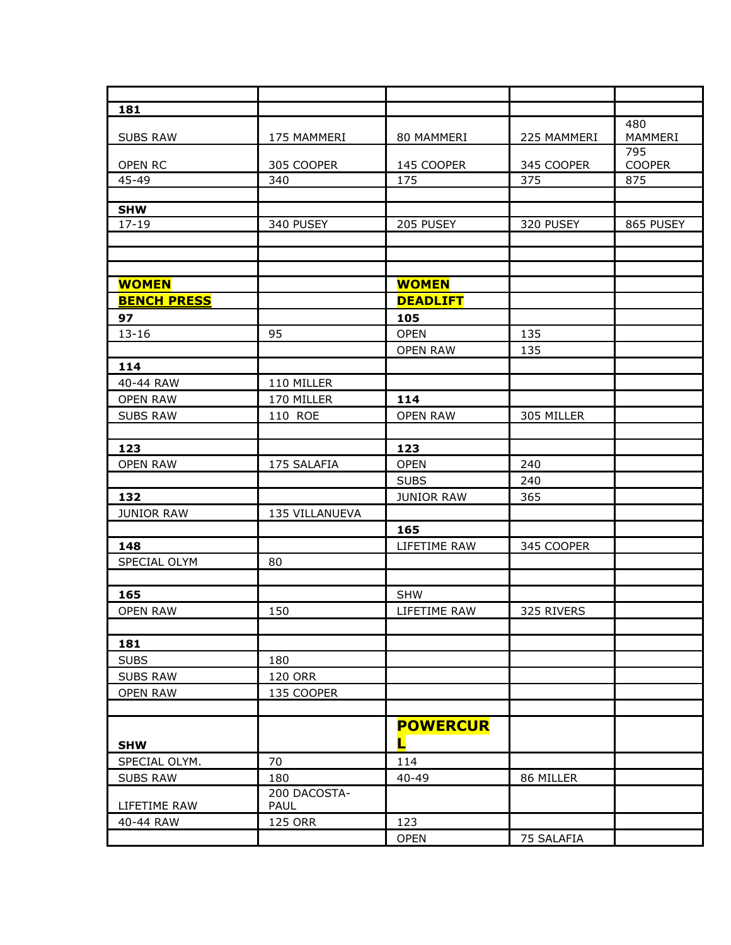| 181                |                |                   |             |               |
|--------------------|----------------|-------------------|-------------|---------------|
|                    |                |                   |             | 480           |
| <b>SUBS RAW</b>    | 175 MAMMERI    | 80 MAMMERI        | 225 MAMMERI | MAMMERI       |
|                    |                |                   |             | 795           |
| OPEN RC            | 305 COOPER     | 145 COOPER        | 345 COOPER  | <b>COOPER</b> |
| 45-49              | 340            | 175               | 375         | 875           |
| <b>SHW</b>         |                |                   |             |               |
| $17 - 19$          | 340 PUSEY      | 205 PUSEY         | 320 PUSEY   | 865 PUSEY     |
|                    |                |                   |             |               |
|                    |                |                   |             |               |
|                    |                |                   |             |               |
| <b>WOMEN</b>       |                | <b>WOMEN</b>      |             |               |
| <b>BENCH PRESS</b> |                | <b>DEADLIFT</b>   |             |               |
| 97                 |                | 105               |             |               |
| $13 - 16$          | 95             | <b>OPEN</b>       | 135         |               |
|                    |                | <b>OPEN RAW</b>   | 135         |               |
| 114                |                |                   |             |               |
| 40-44 RAW          | 110 MILLER     |                   |             |               |
| <b>OPEN RAW</b>    | 170 MILLER     | 114               |             |               |
| <b>SUBS RAW</b>    | 110 ROE        | <b>OPEN RAW</b>   | 305 MILLER  |               |
|                    |                |                   |             |               |
| 123                |                | 123               |             |               |
| <b>OPEN RAW</b>    | 175 SALAFIA    | <b>OPEN</b>       | 240         |               |
|                    |                | <b>SUBS</b>       | 240         |               |
| 132                |                | <b>JUNIOR RAW</b> | 365         |               |
| <b>JUNIOR RAW</b>  | 135 VILLANUEVA |                   |             |               |
|                    |                | 165               |             |               |
|                    |                |                   |             |               |
| 148                | 80             | LIFETIME RAW      | 345 COOPER  |               |
| SPECIAL OLYM       |                |                   |             |               |
|                    |                |                   |             |               |
| 165                |                | <b>SHW</b>        |             |               |
| <b>OPEN RAW</b>    | 150            | LIFETIME RAW      | 325 RIVERS  |               |
|                    |                |                   |             |               |
| 181                |                |                   |             |               |
| <b>SUBS</b>        | 180            |                   |             |               |
| <b>SUBS RAW</b>    | <b>120 ORR</b> |                   |             |               |
| <b>OPEN RAW</b>    | 135 COOPER     |                   |             |               |
|                    |                |                   |             |               |
|                    |                | <b>POWERCUR</b>   |             |               |
| <b>SHW</b>         |                | П                 |             |               |
| SPECIAL OLYM.      | 70             | 114               |             |               |
| <b>SUBS RAW</b>    | 180            | 40-49             | 86 MILLER   |               |
|                    | 200 DACOSTA-   |                   |             |               |
| LIFETIME RAW       | PAUL           |                   |             |               |
| 40-44 RAW          | <b>125 ORR</b> | 123               |             |               |
|                    |                | <b>OPEN</b>       | 75 SALAFIA  |               |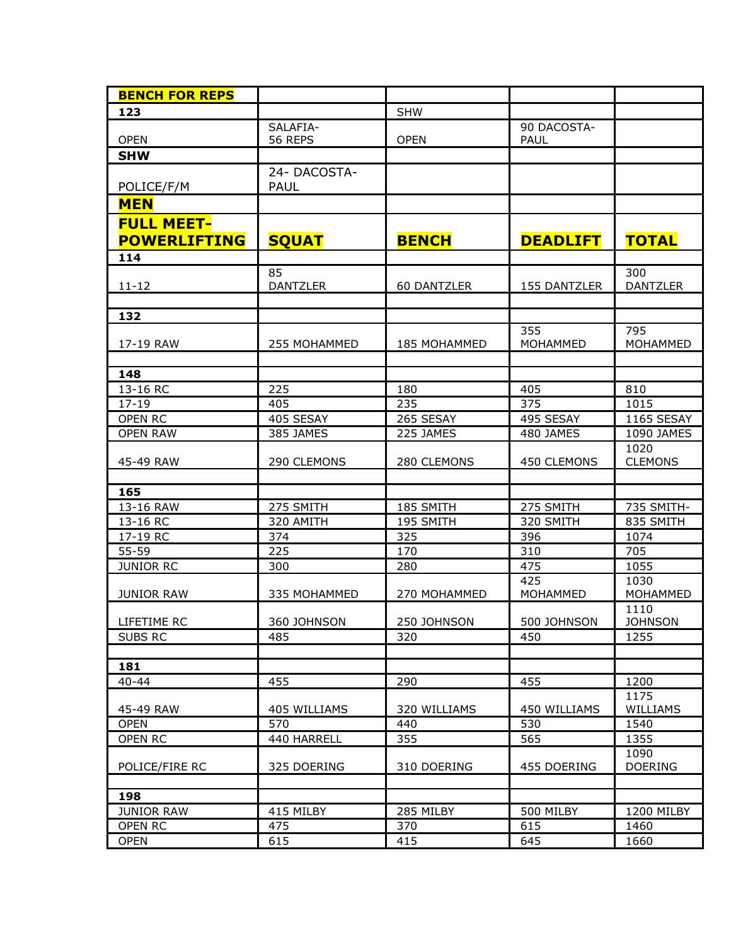| <b>BENCH FOR REPS</b> |                 |                     |                 |                   |
|-----------------------|-----------------|---------------------|-----------------|-------------------|
| 123                   |                 | <b>SHW</b>          |                 |                   |
|                       | SALAFIA-        |                     | 90 DACOSTA-     |                   |
| <b>OPEN</b>           | 56 REPS         | <b>OPEN</b>         | PAUL            |                   |
| <b>SHW</b>            |                 |                     |                 |                   |
|                       | 24- DACOSTA-    |                     |                 |                   |
| POLICE/F/M            | <b>PAUL</b>     |                     |                 |                   |
| <b>MEN</b>            |                 |                     |                 |                   |
| <b>FULL MEET-</b>     |                 |                     |                 |                   |
| <b>POWERLIFTING</b>   | <b>SQUAT</b>    | <b>BENCH</b>        | <b>DEADLIFT</b> | <b>TOTAL</b>      |
| 114                   |                 |                     |                 |                   |
|                       | 85              |                     |                 | 300               |
| $11 - 12$             | <b>DANTZLER</b> | 60 DANTZLER         | 155 DANTZLER    | <b>DANTZLER</b>   |
|                       |                 |                     |                 |                   |
| 132                   |                 |                     |                 |                   |
|                       |                 |                     | 355             | 795               |
| 17-19 RAW             | 255 MOHAMMED    | <b>185 MOHAMMED</b> | MOHAMMED        | MOHAMMED          |
|                       |                 |                     |                 |                   |
| 148<br>13-16 RC       |                 |                     |                 |                   |
| $17 - 19$             | 225<br>405      | 180<br>235          | 405<br>375      | 810<br>1015       |
| OPEN RC               | 405 SESAY       | 265 SESAY           | 495 SESAY       | <b>1165 SESAY</b> |
| <b>OPEN RAW</b>       | 385 JAMES       | 225 JAMES           | 480 JAMES       | 1090 JAMES        |
|                       |                 |                     |                 | 1020              |
| 45-49 RAW             | 290 CLEMONS     | 280 CLEMONS         | 450 CLEMONS     | <b>CLEMONS</b>    |
|                       |                 |                     |                 |                   |
| 165                   |                 |                     |                 |                   |
| 13-16 RAW             | 275 SMITH       | 185 SMITH           | 275 SMITH       | 735 SMITH-        |
| 13-16 RC              | 320 AMITH       | 195 SMITH           | 320 SMITH       | 835 SMITH         |
| 17-19 RC              | 374             | 325                 | 396             | 1074              |
| 55-59                 | 225             | 170                 | 310             | 705               |
| <b>JUNIOR RC</b>      | 300             | 280                 | 475             | 1055              |
|                       |                 |                     | 425             | 1030              |
| <b>JUNIOR RAW</b>     | 335 MOHAMMED    | 270 MOHAMMED        | MOHAMMED        | MOHAMMED          |
|                       |                 |                     |                 | 1110              |
| LIFETIME RC           | 360 JOHNSON     | 250 JOHNSON         | 500 JOHNSON     | <b>JOHNSON</b>    |
| SUBS RC               | 485             | 320                 | 450             | 1255              |
| 181                   |                 |                     |                 |                   |
| $40 - 44$             | 455             | 290                 | 455             | 1200              |
|                       |                 |                     |                 | 1175              |
| 45-49 RAW             | 405 WILLIAMS    | 320 WILLIAMS        | 450 WILLIAMS    | <b>WILLIAMS</b>   |
| <b>OPEN</b>           | 570             | 440                 | 530             | 1540              |
| OPEN RC               | 440 HARRELL     | 355                 | 565             | 1355              |
|                       |                 |                     |                 | 1090              |
| POLICE/FIRE RC        | 325 DOERING     | 310 DOERING         | 455 DOERING     | <b>DOERING</b>    |
|                       |                 |                     |                 |                   |
| 198                   |                 |                     |                 |                   |
| <b>JUNIOR RAW</b>     | 415 MILBY       | 285 MILBY           | 500 MILBY       | 1200 MILBY        |
| OPEN RC               | 475             | 370                 | 615             | 1460              |
| <b>OPEN</b>           | 615             | 415                 | 645             | 1660              |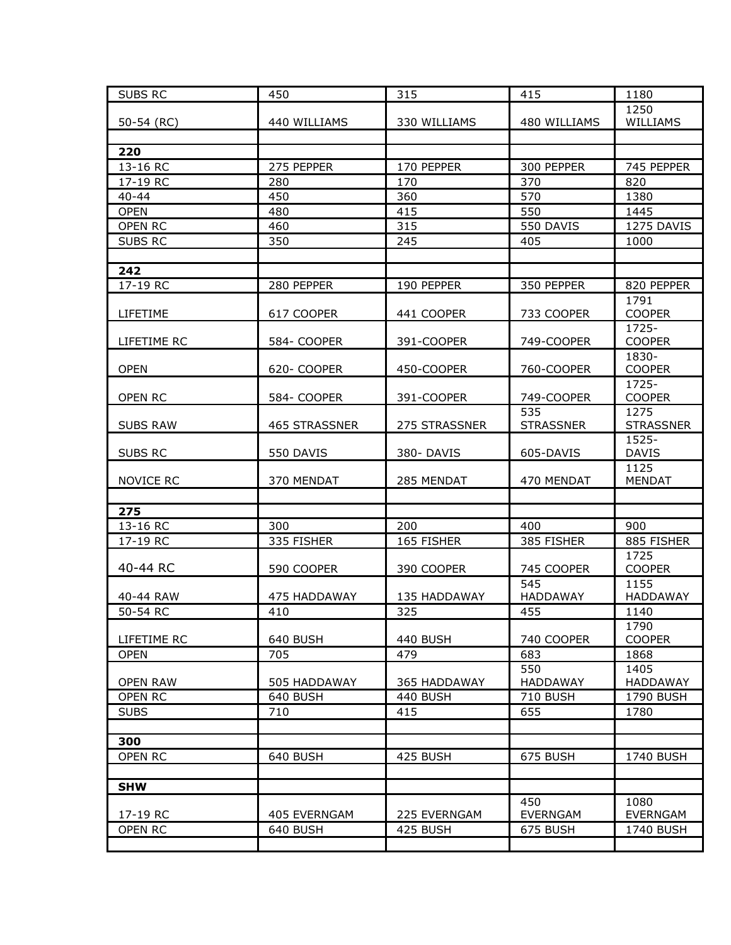| <b>SUBS RC</b>        | 450           | 315           | 415              | 1180                   |
|-----------------------|---------------|---------------|------------------|------------------------|
|                       |               |               |                  | 1250                   |
| 50-54 (RC)            | 440 WILLIAMS  | 330 WILLIAMS  | 480 WILLIAMS     | WILLIAMS               |
|                       |               |               |                  |                        |
| 220                   |               |               |                  |                        |
| 13-16 RC              | 275 PEPPER    | 170 PEPPER    | 300 PEPPER       | 745 PEPPER             |
| 17-19 RC              | 280           | 170           | 370              | 820                    |
| $40 - 44$             | 450           | 360           | 570              | 1380                   |
| <b>OPEN</b>           | 480           | 415           | 550              | 1445                   |
| OPEN RC               | 460           | 315           | 550 DAVIS        | 1275 DAVIS             |
| <b>SUBS RC</b>        | 350           | 245           | 405              | 1000                   |
|                       |               |               |                  |                        |
| 242                   |               |               |                  |                        |
| 17-19 RC              | 280 PEPPER    | 190 PEPPER    | 350 PEPPER       | 820 PEPPER             |
| LIFETIME              | 617 COOPER    | 441 COOPER    | 733 COOPER       | 1791<br><b>COOPER</b>  |
|                       |               |               |                  | 1725-                  |
| LIFETIME RC           | 584- COOPER   | 391-COOPER    | 749-COOPER       | <b>COOPER</b>          |
| <b>OPEN</b>           | 620- COOPER   | 450-COOPER    | 760-COOPER       | 1830-<br><b>COOPER</b> |
|                       |               |               |                  | 1725-                  |
| OPEN RC               | 584- COOPER   | 391-COOPER    | 749-COOPER       | <b>COOPER</b>          |
|                       |               |               | 535              | 1275                   |
| <b>SUBS RAW</b>       | 465 STRASSNER | 275 STRASSNER | <b>STRASSNER</b> | <b>STRASSNER</b>       |
|                       |               |               |                  | 1525-                  |
| SUBS RC               | 550 DAVIS     | 380-DAVIS     | 605-DAVIS        | <b>DAVIS</b>           |
|                       |               |               |                  | 1125<br><b>MENDAT</b>  |
| <b>NOVICE RC</b>      | 370 MENDAT    | 285 MENDAT    | 470 MENDAT       |                        |
| 275                   |               |               |                  |                        |
| 13-16 RC              | 300           | 200           | 400              | 900                    |
| 17-19 RC              | 335 FISHER    | 165 FISHER    | 385 FISHER       | 885 FISHER             |
|                       |               |               |                  | 1725                   |
| 40-44 RC              | 590 COOPER    | 390 COOPER    | 745 COOPER       | <b>COOPER</b>          |
|                       |               |               | 545              | 1155                   |
| 40-44 RAW             | 475 HADDAWAY  | 135 HADDAWAY  | <b>HADDAWAY</b>  | <b>HADDAWAY</b>        |
| 50-54 RC              | 410           | 325           | 455              | 1140                   |
|                       |               |               |                  | 1790                   |
| LIFETIME RC           | 640 BUSH      | 440 BUSH      | 740 COOPER       | <b>COOPER</b>          |
| <b>OPEN</b>           | 705           | 479           | 683              | 1868                   |
|                       |               |               | 550              | 1405                   |
| <b>OPEN RAW</b>       | 505 HADDAWAY  | 365 HADDAWAY  | HADDAWAY         | <b>HADDAWAY</b>        |
| OPEN RC               | 640 BUSH      | 440 BUSH      | 710 BUSH         | 1790 BUSH              |
| <b>SUBS</b>           | 710           | 415           | 655              | 1780                   |
|                       |               |               |                  |                        |
| 300<br><b>OPEN RC</b> | 640 BUSH      | 425 BUSH      | 675 BUSH         | 1740 BUSH              |
|                       |               |               |                  |                        |
|                       |               |               |                  |                        |
| <b>SHW</b>            |               |               | 450              | 1080                   |
| 17-19 RC              | 405 EVERNGAM  | 225 EVERNGAM  | <b>EVERNGAM</b>  | <b>EVERNGAM</b>        |
| OPEN RC               | 640 BUSH      | 425 BUSH      | 675 BUSH         | 1740 BUSH              |
|                       |               |               |                  |                        |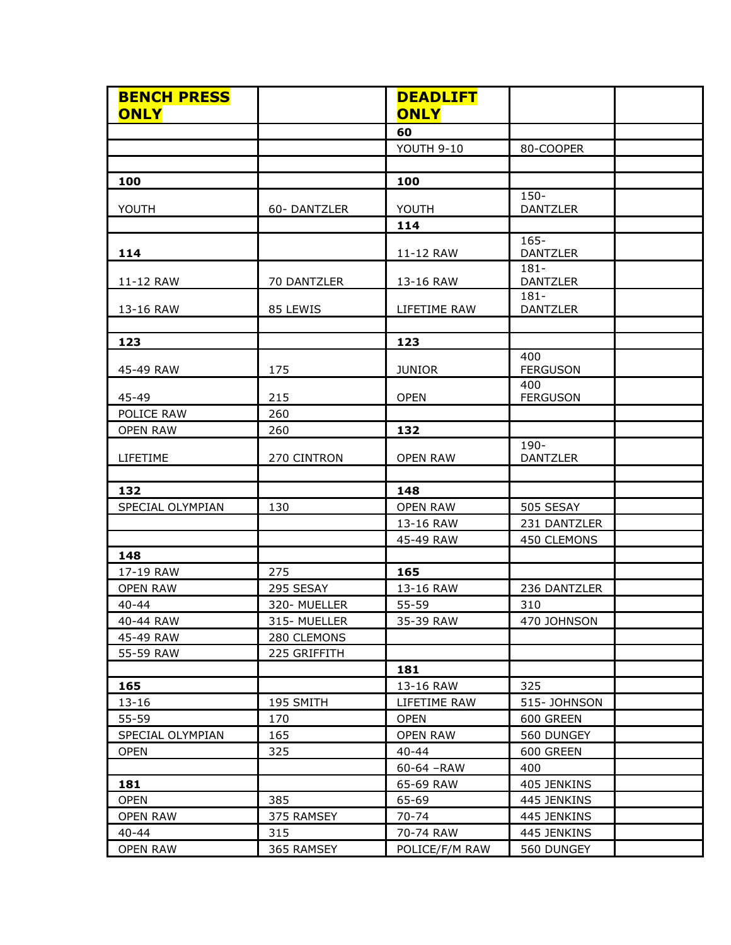| <b>BENCH PRESS</b><br><b>ONLY</b> |              | <b>DEADLIFT</b><br><b>ONLY</b> |                            |
|-----------------------------------|--------------|--------------------------------|----------------------------|
|                                   |              | 60                             |                            |
|                                   |              | YOUTH 9-10                     | 80-COOPER                  |
|                                   |              |                                |                            |
| 100                               |              | 100                            |                            |
|                                   |              |                                | $150 -$                    |
| YOUTH                             | 60-DANTZLER  | YOUTH                          | <b>DANTZLER</b>            |
|                                   |              | 114                            |                            |
| 114                               |              | 11-12 RAW                      | $165 -$<br><b>DANTZLER</b> |
| 11-12 RAW                         | 70 DANTZLER  | 13-16 RAW                      | $181 -$<br><b>DANTZLER</b> |
| 13-16 RAW                         | 85 LEWIS     | LIFETIME RAW                   | $181 -$<br><b>DANTZLER</b> |
|                                   |              |                                |                            |
| 123                               |              | 123                            |                            |
| 45-49 RAW                         | 175          | <b>JUNIOR</b>                  | 400<br><b>FERGUSON</b>     |
| 45-49                             | 215          | <b>OPEN</b>                    | 400<br><b>FERGUSON</b>     |
| POLICE RAW                        | 260          |                                |                            |
| <b>OPEN RAW</b>                   | 260          | 132                            |                            |
| LIFETIME                          | 270 CINTRON  | <b>OPEN RAW</b>                | 190-<br><b>DANTZLER</b>    |
|                                   |              |                                |                            |
| 132                               |              | 148                            |                            |
| SPECIAL OLYMPIAN                  | 130          | <b>OPEN RAW</b>                | 505 SESAY                  |
|                                   |              | 13-16 RAW                      | 231 DANTZLER               |
|                                   |              | 45-49 RAW                      | 450 CLEMONS                |
| 148                               |              |                                |                            |
| 17-19 RAW                         | 275          | 165                            |                            |
| <b>OPEN RAW</b>                   | 295 SESAY    | 13-16 RAW                      | 236 DANTZLER               |
| $40 - 44$                         | 320- MUELLER | 55-59                          | 310                        |
| 40-44 RAW                         | 315- MUELLER | 35-39 RAW                      | 470 JOHNSON                |
| 45-49 RAW                         | 280 CLEMONS  |                                |                            |
| 55-59 RAW                         | 225 GRIFFITH | 181                            |                            |
| 165                               |              | 13-16 RAW                      | 325                        |
| $13 - 16$                         | 195 SMITH    | LIFETIME RAW                   | 515- JOHNSON               |
| 55-59                             | 170          | <b>OPEN</b>                    | 600 GREEN                  |
| SPECIAL OLYMPIAN                  | 165          | <b>OPEN RAW</b>                | 560 DUNGEY                 |
| <b>OPEN</b>                       | 325          | $40 - 44$                      | 600 GREEN                  |
|                                   |              | 60-64 - RAW                    | 400                        |
| 181                               |              | 65-69 RAW                      | 405 JENKINS                |
| <b>OPEN</b>                       | 385          | 65-69                          |                            |
| <b>OPEN RAW</b>                   | 375 RAMSEY   | 70-74                          | 445 JENKINS<br>445 JENKINS |
|                                   |              |                                |                            |
| $40 - 44$                         | 315          | 70-74 RAW                      | 445 JENKINS                |
| <b>OPEN RAW</b>                   | 365 RAMSEY   | POLICE/F/M RAW                 | 560 DUNGEY                 |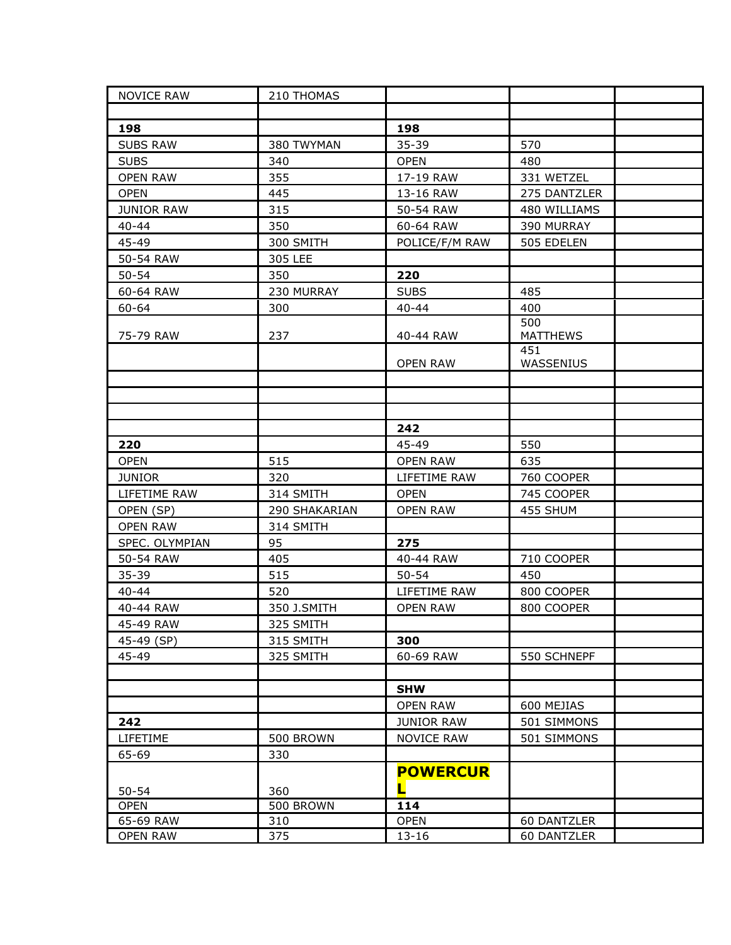| <b>NOVICE RAW</b> | 210 THOMAS    |                   |                        |
|-------------------|---------------|-------------------|------------------------|
|                   |               |                   |                        |
| 198               |               | 198               |                        |
| <b>SUBS RAW</b>   | 380 TWYMAN    | 35-39             | 570                    |
| <b>SUBS</b>       | 340           | <b>OPEN</b>       | 480                    |
| <b>OPEN RAW</b>   | 355           | 17-19 RAW         | 331 WETZEL             |
| <b>OPEN</b>       | 445           | 13-16 RAW         | 275 DANTZLER           |
| <b>JUNIOR RAW</b> | 315           | 50-54 RAW         | 480 WILLIAMS           |
| $40 - 44$         | 350           | 60-64 RAW         | 390 MURRAY             |
| 45-49             | 300 SMITH     | POLICE/F/M RAW    | 505 EDELEN             |
| 50-54 RAW         | 305 LEE       |                   |                        |
| $50 - 54$         | 350           | 220               |                        |
| 60-64 RAW         | 230 MURRAY    | <b>SUBS</b>       | 485                    |
| 60-64             | 300           | $40 - 44$         | 400                    |
| 75-79 RAW         | 237           | 40-44 RAW         | 500<br><b>MATTHEWS</b> |
|                   |               | <b>OPEN RAW</b>   | 451<br>WASSENIUS       |
|                   |               |                   |                        |
|                   |               |                   |                        |
|                   |               |                   |                        |
|                   |               | 242               |                        |
| 220               |               | 45-49             | 550                    |
| <b>OPEN</b>       | 515           | <b>OPEN RAW</b>   | 635                    |
| <b>JUNIOR</b>     | 320           | LIFETIME RAW      | 760 COOPER             |
| LIFETIME RAW      | 314 SMITH     | <b>OPEN</b>       | 745 COOPER             |
| OPEN (SP)         | 290 SHAKARIAN | <b>OPEN RAW</b>   | 455 SHUM               |
| <b>OPEN RAW</b>   | 314 SMITH     |                   |                        |
| SPEC. OLYMPIAN    | 95            | 275               |                        |
| 50-54 RAW         | 405           | 40-44 RAW         | 710 COOPER             |
| 35-39             | 515           | $50 - 54$         | 450                    |
| $40 - 44$         | 520           | LIFETIME RAW      | 800 COOPER             |
| 40-44 RAW         | 350 J.SMITH   | <b>OPEN RAW</b>   | 800 COOPER             |
| 45-49 RAW         | 325 SMITH     |                   |                        |
| 45-49 (SP)        | 315 SMITH     | 300               |                        |
| 45-49             | 325 SMITH     | 60-69 RAW         | 550 SCHNEPF            |
|                   |               |                   |                        |
|                   |               | <b>SHW</b>        |                        |
|                   |               | <b>OPEN RAW</b>   | 600 MEJIAS             |
| 242               |               | <b>JUNIOR RAW</b> | 501 SIMMONS            |
| LIFETIME          | 500 BROWN     | <b>NOVICE RAW</b> | 501 SIMMONS            |
| 65-69             | 330           |                   |                        |
|                   |               | <b>POWERCUR</b>   |                        |
| $50 - 54$         | 360           | L                 |                        |
| <b>OPEN</b>       | 500 BROWN     | 114               |                        |
| 65-69 RAW         | 310           | <b>OPEN</b>       | 60 DANTZLER            |
| <b>OPEN RAW</b>   | 375           | $13 - 16$         | 60 DANTZLER            |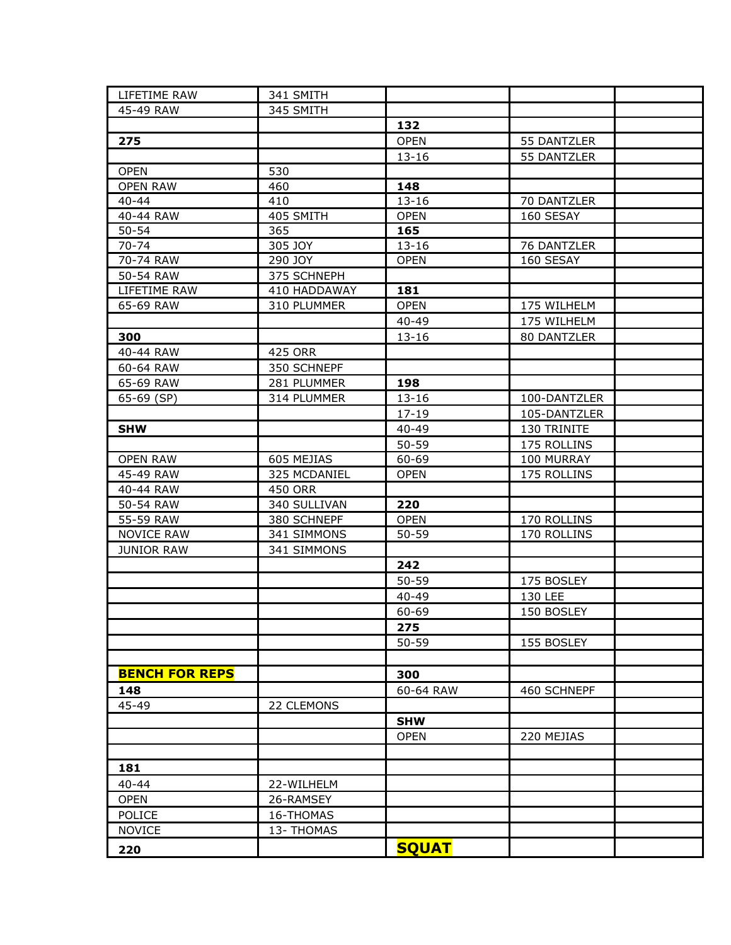| LIFETIME RAW          | 341 SMITH      |              |              |  |
|-----------------------|----------------|--------------|--------------|--|
| 45-49 RAW             | 345 SMITH      |              |              |  |
|                       |                | 132          |              |  |
| 275                   |                | <b>OPEN</b>  | 55 DANTZLER  |  |
|                       |                | $13 - 16$    | 55 DANTZLER  |  |
| <b>OPEN</b>           | 530            |              |              |  |
| <b>OPEN RAW</b>       | 460            | 148          |              |  |
| 40-44                 | 410            | $13 - 16$    | 70 DANTZLER  |  |
| 40-44 RAW             | 405 SMITH      | <b>OPEN</b>  | 160 SESAY    |  |
| $50 - 54$             | 365            | 165          |              |  |
| 70-74                 | 305 JOY        | $13 - 16$    | 76 DANTZLER  |  |
| 70-74 RAW             | 290 JOY        | <b>OPEN</b>  | 160 SESAY    |  |
| 50-54 RAW             | 375 SCHNEPH    |              |              |  |
| LIFETIME RAW          | 410 HADDAWAY   | 181          |              |  |
| 65-69 RAW             | 310 PLUMMER    | <b>OPEN</b>  | 175 WILHELM  |  |
|                       |                | 40-49        | 175 WILHELM  |  |
| 300                   |                | $13 - 16$    | 80 DANTZLER  |  |
| 40-44 RAW             | 425 ORR        |              |              |  |
| 60-64 RAW             | 350 SCHNEPF    |              |              |  |
| 65-69 RAW             | 281 PLUMMER    | 198          |              |  |
| 65-69 (SP)            | 314 PLUMMER    | $13 - 16$    | 100-DANTZLER |  |
|                       |                | $17 - 19$    | 105-DANTZLER |  |
| <b>SHW</b>            |                | $40 - 49$    | 130 TRINITE  |  |
|                       |                | 50-59        | 175 ROLLINS  |  |
| <b>OPEN RAW</b>       | 605 MEJIAS     | 60-69        | 100 MURRAY   |  |
| 45-49 RAW             | 325 MCDANIEL   | <b>OPEN</b>  | 175 ROLLINS  |  |
| 40-44 RAW             | <b>450 ORR</b> |              |              |  |
| 50-54 RAW             | 340 SULLIVAN   | 220          |              |  |
| 55-59 RAW             | 380 SCHNEPF    | <b>OPEN</b>  | 170 ROLLINS  |  |
| <b>NOVICE RAW</b>     | 341 SIMMONS    | $50 - 59$    | 170 ROLLINS  |  |
| <b>JUNIOR RAW</b>     | 341 SIMMONS    |              |              |  |
|                       |                | 242          |              |  |
|                       |                | $50 - 59$    | 175 BOSLEY   |  |
|                       |                | 40-49        | 130 LEE      |  |
|                       |                | 60-69        | 150 BOSLEY   |  |
|                       |                | 275          |              |  |
|                       |                | $50 - 59$    | 155 BOSLEY   |  |
|                       |                |              |              |  |
| <b>BENCH FOR REPS</b> |                | 300          |              |  |
| 148                   |                | 60-64 RAW    | 460 SCHNEPF  |  |
| 45-49                 | 22 CLEMONS     |              |              |  |
|                       |                | <b>SHW</b>   |              |  |
|                       |                | <b>OPEN</b>  | 220 MEJIAS   |  |
|                       |                |              |              |  |
| 181                   |                |              |              |  |
| $40 - 44$             | 22-WILHELM     |              |              |  |
| <b>OPEN</b>           | 26-RAMSEY      |              |              |  |
| POLICE                | 16-THOMAS      |              |              |  |
| <b>NOVICE</b>         | 13- THOMAS     |              |              |  |
|                       |                |              |              |  |
| 220                   |                | <b>SQUAT</b> |              |  |